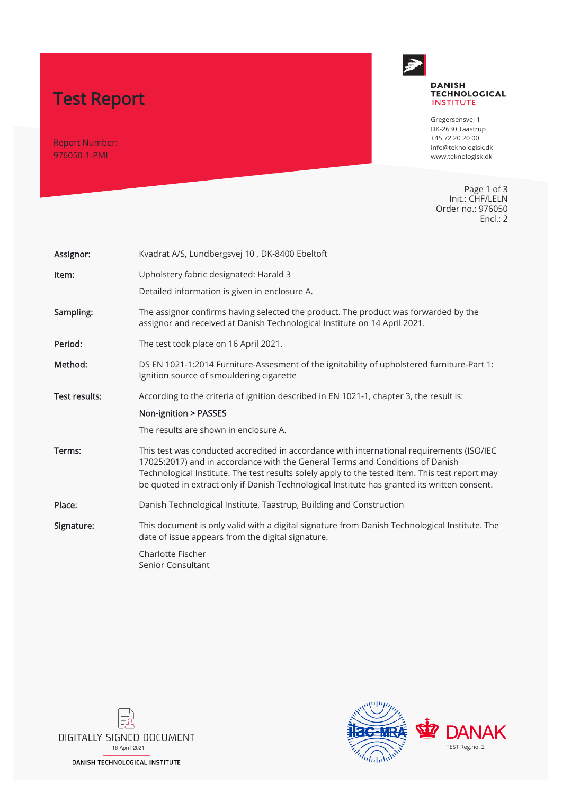# Test Report

Report Number: 976050-1-PMI



#### **DANISH TECHNOLOGICAL INSTITUTE**

Gregersensvej 1 DK-2630 Taastrup +45 72 20 20 00 info@teknologisk.dk www.teknologisk.dk

Page 1 of 3 Init.: CHF/LELN Order no.: 976050 Encl.: 2

| Assignor:     | Kvadrat A/S, Lundbergsvej 10, DK-8400 Ebeltoft                                                                                                                                                                                                                                                                                                                                |
|---------------|-------------------------------------------------------------------------------------------------------------------------------------------------------------------------------------------------------------------------------------------------------------------------------------------------------------------------------------------------------------------------------|
| Item:         | Upholstery fabric designated: Harald 3                                                                                                                                                                                                                                                                                                                                        |
|               | Detailed information is given in enclosure A.                                                                                                                                                                                                                                                                                                                                 |
| Sampling:     | The assignor confirms having selected the product. The product was forwarded by the<br>assignor and received at Danish Technological Institute on 14 April 2021.                                                                                                                                                                                                              |
| Period:       | The test took place on 16 April 2021.                                                                                                                                                                                                                                                                                                                                         |
| Method:       | DS EN 1021-1:2014 Furniture-Assesment of the ignitability of upholstered furniture-Part 1:<br>Ignition source of smouldering cigarette                                                                                                                                                                                                                                        |
| Test results: | According to the criteria of ignition described in EN 1021-1, chapter 3, the result is:                                                                                                                                                                                                                                                                                       |
|               | Non-ignition > PASSES                                                                                                                                                                                                                                                                                                                                                         |
|               | The results are shown in enclosure A.                                                                                                                                                                                                                                                                                                                                         |
| Terms:        | This test was conducted accredited in accordance with international requirements (ISO/IEC<br>17025:2017) and in accordance with the General Terms and Conditions of Danish<br>Technological Institute. The test results solely apply to the tested item. This test report may<br>be quoted in extract only if Danish Technological Institute has granted its written consent. |
| Place:        | Danish Technological Institute, Taastrup, Building and Construction                                                                                                                                                                                                                                                                                                           |
| Signature:    | This document is only valid with a digital signature from Danish Technological Institute. The<br>date of issue appears from the digital signature.                                                                                                                                                                                                                            |
|               | Charlotte Fischer<br>Senior Consultant                                                                                                                                                                                                                                                                                                                                        |



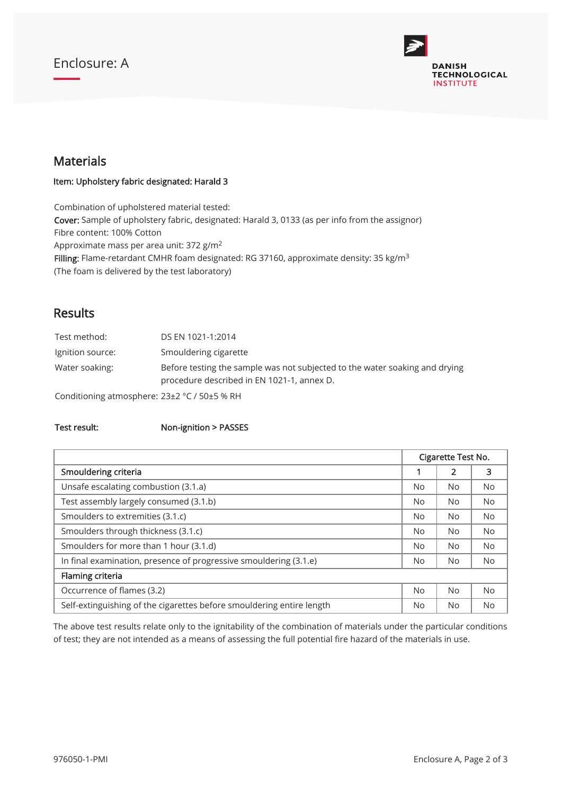## Enclosure: A



#### Materials

Item: Upholstery fabric designated: Harald 3

Combination of upholstered material tested: Cover: Sample of upholstery fabric, designated: Harald 3, 0133 (as per info from the assignor) Fibre content: 100% Cotton Approximate mass per area unit: 372 g/m<sup>2</sup> **Filling:** Flame-retardant CMHR foam designated: RG 37160, approximate density: 35 kg/m<sup>3</sup> (The foam is delivered by the test laboratory)

#### Results

| Test method:                                 | DS EN 1021-1:2014                                                                                                         |
|----------------------------------------------|---------------------------------------------------------------------------------------------------------------------------|
| Ignition source:                             | Smouldering cigarette                                                                                                     |
| Water soaking:                               | Before testing the sample was not subjected to the water soaking and drying<br>procedure described in EN 1021-1, annex D. |
| Conditioning atmosphere: 23±2 °C / 50±5 % RH |                                                                                                                           |

#### Test result: Non-ignition > PASSES

|                                                                       |  | Cigarette Test No. |           |  |
|-----------------------------------------------------------------------|--|--------------------|-----------|--|
| Smouldering criteria                                                  |  | 2                  | 3         |  |
| Unsafe escalating combustion (3.1.a)                                  |  | No.                | <b>No</b> |  |
| Test assembly largely consumed (3.1.b)                                |  | No.                | <b>No</b> |  |
| Smoulders to extremities (3.1.c)                                      |  | <b>No</b>          | <b>No</b> |  |
| Smoulders through thickness (3.1.c)                                   |  | No.                | <b>No</b> |  |
| Smoulders for more than 1 hour (3.1.d)                                |  | N <sub>o</sub>     | <b>No</b> |  |
| In final examination, presence of progressive smouldering (3.1.e)     |  | No.                | No.       |  |
| Flaming criteria                                                      |  |                    |           |  |
| Occurrence of flames (3.2)                                            |  | <b>No</b>          | <b>No</b> |  |
| Self-extinguishing of the cigarettes before smouldering entire length |  | No.                | <b>No</b> |  |

The above test results relate only to the ignitability of the combination of materials under the particular conditions of test; they are not intended as a means of assessing the full potential fire hazard of the materials in use.